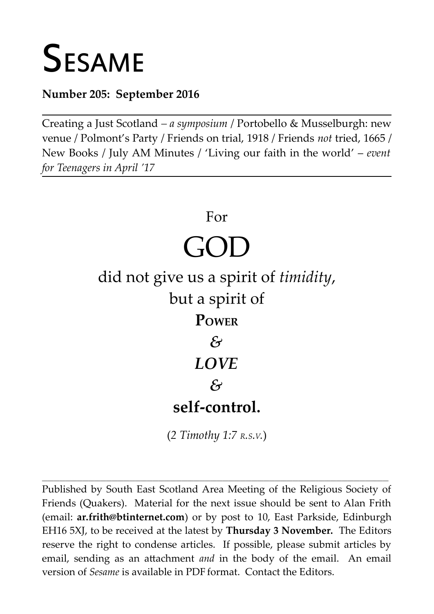# **SESAME**

# **Number 205: September 2016**

Creating a Just Scotland *– a symposium* / Portobello & Musselburgh: new venue / Polmont's Party / Friends on trial, 1918 / Friends *not* tried, 1665 / New Books / July AM Minutes / 'Living our faith in the world' – *event for Teenagers in April '17*



(*2 Timothy 1:7 R.S.V.*)

**\_\_\_\_\_\_\_\_\_\_\_\_\_\_\_\_\_\_\_\_\_\_\_\_\_\_\_\_\_\_\_\_\_\_\_\_\_\_\_\_\_\_\_\_\_\_\_\_\_\_\_\_\_\_\_\_\_\_\_\_\_\_\_\_\_\_\_\_\_\_\_\_\_\_\_\_\_\_\_\_\_\_\_\_\_\_\_\_\_\_\_\_\_\_\_\_\_\_\_\_\_\_\_\_\_\_\_\_\_\_\_\_\_\_\_\_\_\_\_**

Published by South East Scotland Area Meeting of the Religious Society of Friends (Quakers). Material for the next issue should be sent to Alan Frith (email: **[ar.frith@btinternet.com](mailto:ar.frith@btinternet.com)**) or by post to 10, East Parkside, Edinburgh EH16 5XJ, to be received at the latest by **Thursday 3 November.** The Editors reserve the right to condense articles. If possible, please submit articles by email, sending as an attachment *and* in the body of the email. An email version of *Sesame* is available in PDF format. Contact the Editors.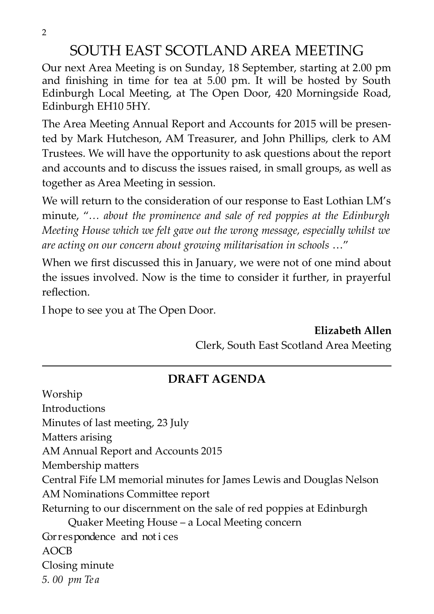2

# SOUTH EAST SCOTLAND AREA MEETING

Our next Area Meeting is on Sunday, 18 September, starting at 2.00 pm and finishing in time for tea at 5.00 pm. It will be hosted by South Edinburgh Local Meeting, at The Open Door, 420 Morningside Road, Edinburgh EH10 5HY.

The Area Meeting Annual Report and Accounts for 2015 will be presented by Mark Hutcheson, AM Treasurer, and John Phillips, clerk to AM Trustees. We will have the opportunity to ask questions about the report and accounts and to discuss the issues raised, in small groups, as well as together as Area Meeting in session.

We will return to the consideration of our response to East Lothian LM's minute, "*… about the prominence and sale of red poppies at the Edinburgh Meeting House which we felt gave out the wrong message, especially whilst we are acting on our concern about growing militarisation in schools* …"

When we first discussed this in January, we were not of one mind about the issues involved. Now is the time to consider it further, in prayerful reflection.

I hope to see you at The Open Door.

**Elizabeth Allen**

Clerk, South East Scotland Area Meeting

## **DRAFT AGENDA**

Worship Introductions Minutes of last meeting, 23 July Matters arising AM Annual Report and Accounts 2015 Membership matters Central Fife LM memorial minutes for James Lewis and Douglas Nelson AM Nominations Committee report Returning to our discernment on the sale of red poppies at Edinburgh Quaker Meeting House – a Local Meeting concern Correspondence and not i ces AOCB Closing minute *5. 00 pm Tea*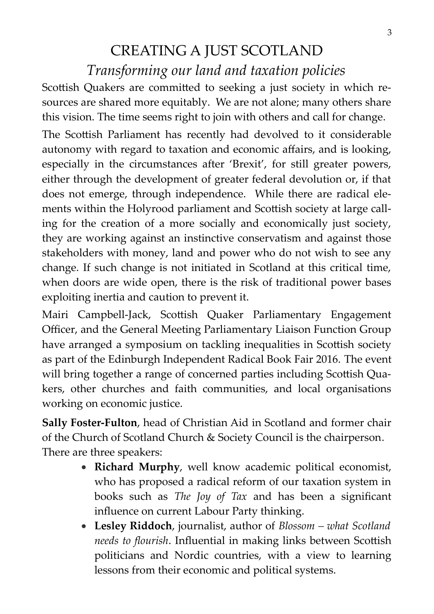# CREATING A JUST SCOTLAND *Transforming our land and taxation policies*

Scottish Quakers are committed to seeking a just society in which resources are shared more equitably. We are not alone; many others share this vision. The time seems right to join with others and call for change.

The Scottish Parliament has recently had devolved to it considerable autonomy with regard to taxation and economic affairs, and is looking, especially in the circumstances after 'Brexit', for still greater powers, either through the development of greater federal devolution or, if that does not emerge, through independence. While there are radical elements within the Holyrood parliament and Scottish society at large calling for the creation of a more socially and economically just society, they are working against an instinctive conservatism and against those stakeholders with money, land and power who do not wish to see any change. If such change is not initiated in Scotland at this critical time, when doors are wide open, there is the risk of traditional power bases exploiting inertia and caution to prevent it.

Mairi Campbell-Jack, Scottish Quaker Parliamentary Engagement Officer, and the General Meeting Parliamentary Liaison Function Group have arranged a symposium on tackling inequalities in Scottish society as part of the Edinburgh Independent Radical Book Fair 2016. The event will bring together a range of concerned parties including Scottish Quakers, other churches and faith communities, and local organisations working on economic justice.

**Sally Foster-Fulton**, head of Christian Aid in Scotland and former chair of the Church of Scotland Church & Society Council is the chairperson. There are three speakers:

- **Richard Murphy**, well know academic political economist, who has proposed a radical reform of our taxation system in books such as *The Joy of Tax* and has been a significant influence on current Labour Party thinking.
- **Lesley Riddoch**, journalist, author of *Blossom what Scotland needs to flourish*. Influential in making links between Scottish politicians and Nordic countries, with a view to learning lessons from their economic and political systems.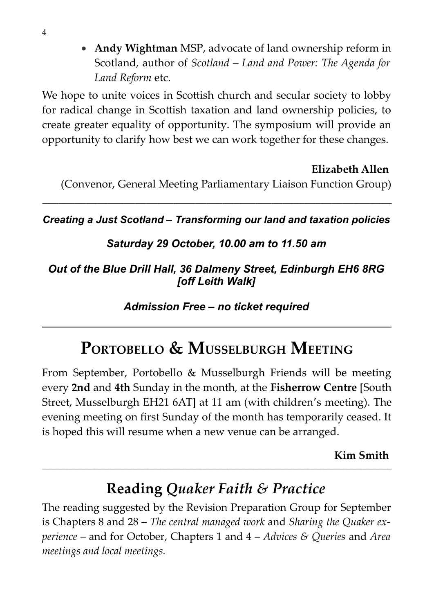**Andy Wightman** MSP, advocate of land ownership reform in Scotland, author of *Scotland – Land and Power: The Agenda for Land Reform* etc.

We hope to unite voices in Scottish church and secular society to lobby for radical change in Scottish taxation and land ownership policies, to create greater equality of opportunity. The symposium will provide an opportunity to clarify how best we can work together for these changes.

#### **Elizabeth Allen**

(Convenor, General Meeting Parliamentary Liaison Function Group)

*Creating a Just Scotland – Transforming our land and taxation policies*

\_\_\_\_\_\_\_\_\_\_\_\_\_\_\_\_\_\_\_\_\_\_\_\_\_\_\_\_\_\_\_\_\_\_\_\_\_\_\_\_\_\_\_\_\_\_\_\_\_\_\_\_\_\_\_\_\_\_\_\_\_\_\_\_

## *Saturday 29 October, 10.00 am to 11.50 am*

## *Out of the Blue Drill Hall, 36 Dalmeny Street, Edinburgh EH6 8RG [off Leith Walk]*

*Admission Free – no ticket required*

# **PORTOBELLO & MUSSELBURGH MEETING**

From September, Portobello & Musselburgh Friends will be meeting every **2nd** and **4th** Sunday in the month, at the **Fisherrow Centre** [South Street, Musselburgh EH21 6AT] at 11 am (with children's meeting). The evening meeting on first Sunday of the month has temporarily ceased. It is hoped this will resume when a new venue can be arranged.

**Kim Smith** 

# **Reading** *Quaker Faith & Practice*

**\_\_\_\_\_\_\_\_\_\_\_\_\_\_\_\_\_\_\_\_\_\_\_\_\_\_\_\_\_\_\_\_\_\_\_\_\_\_\_\_\_\_\_\_\_\_\_\_\_\_\_\_\_\_\_\_\_\_\_\_\_\_\_\_\_\_\_\_\_\_\_\_\_\_\_\_\_\_\_\_\_\_\_\_\_\_\_\_\_\_\_\_\_\_\_\_\_\_\_\_\_\_\_\_\_\_\_\_\_\_\_\_\_\_\_\_\_\_\_\_**

The reading suggested by the Revision Preparation Group for September is Chapters 8 and 28 – *The central managed work* and *Sharing the Quaker experience –* and for October, Chapters 1 and 4 – *Advices & Queries* and *Area meetings and local meetings.*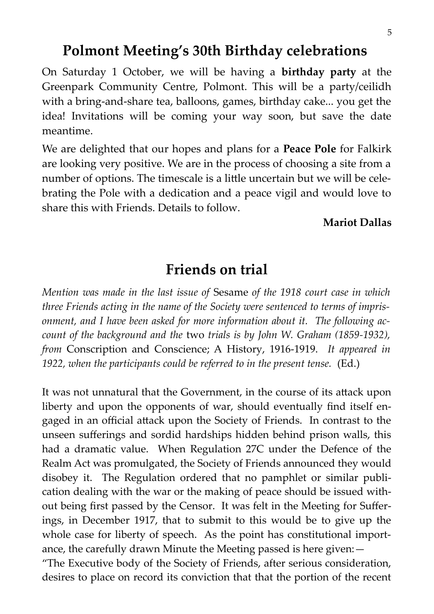# **Polmont Meeting's 30th Birthday celebrations**

On Saturday 1 October, we will be having a **birthday party** at the Greenpark Community Centre, Polmont. This will be a party/ceilidh with a bring-and-share tea, balloons, games, birthday cake... you get the idea! Invitations will be coming your way soon, but save the date meantime.

We are delighted that our hopes and plans for a **Peace Pole** for Falkirk are looking very positive. We are in the process of choosing a site from a number of options. The timescale is a little uncertain but we will be celebrating the Pole with a dedication and a peace vigil and would love to share this with Friends. Details to follow.

#### **Mariot Dallas**

# **Friends on trial**

*Mention was made in the last issue of* Sesame *of the 1918 court case in which three Friends acting in the name of the Society were sentenced to terms of imprisonment, and I have been asked for more information about it. The following account of the background and the* two *trials is by John W. Graham (1859-1932), from* Conscription and Conscience; A History, 1916-1919. *It appeared in 1922, when the participants could be referred to in the present tense.* (Ed.)

It was not unnatural that the Government, in the course of its attack upon liberty and upon the opponents of war, should eventually find itself engaged in an official attack upon the Society of Friends. In contrast to the unseen sufferings and sordid hardships hidden behind prison walls, this had a dramatic value. When Regulation 27C under the Defence of the Realm Act was promulgated, the Society of Friends announced they would disobey it. The Regulation ordered that no pamphlet or similar publication dealing with the war or the making of peace should be issued without being first passed by the Censor. It was felt in the Meeting for Sufferings, in December 1917, that to submit to this would be to give up the whole case for liberty of speech. As the point has constitutional importance, the carefully drawn Minute the Meeting passed is here given:—

"The Executive body of the Society of Friends, after serious consideration, desires to place on record its conviction that that the portion of the recent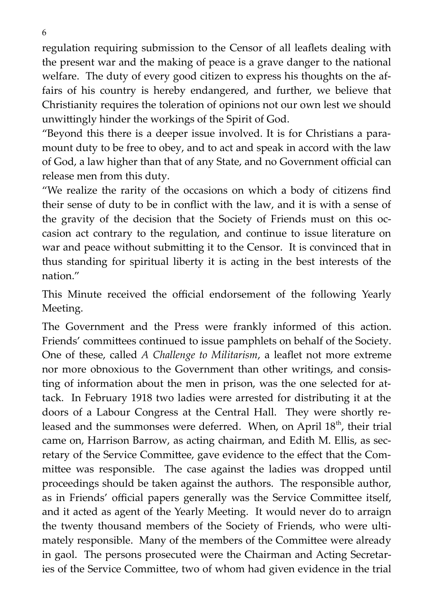regulation requiring submission to the Censor of all leaflets dealing with the present war and the making of peace is a grave danger to the national welfare. The duty of every good citizen to express his thoughts on the affairs of his country is hereby endangered, and further, we believe that Christianity requires the toleration of opinions not our own lest we should unwittingly hinder the workings of the Spirit of God.

"Beyond this there is a deeper issue involved. It is for Christians a paramount duty to be free to obey, and to act and speak in accord with the law of God, a law higher than that of any State, and no Government official can release men from this duty.

"We realize the rarity of the occasions on which a body of citizens find their sense of duty to be in conflict with the law, and it is with a sense of the gravity of the decision that the Society of Friends must on this occasion act contrary to the regulation, and continue to issue literature on war and peace without submitting it to the Censor. It is convinced that in thus standing for spiritual liberty it is acting in the best interests of the nation."

This Minute received the official endorsement of the following Yearly Meeting.

The Government and the Press were frankly informed of this action. Friends' committees continued to issue pamphlets on behalf of the Society. One of these, called *A Challenge to Militarism*, a leaflet not more extreme nor more obnoxious to the Government than other writings, and consisting of information about the men in prison, was the one selected for attack. In February 1918 two ladies were arrested for distributing it at the doors of a Labour Congress at the Central Hall. They were shortly released and the summonses were deferred. When, on April  $18<sup>th</sup>$ , their trial came on, Harrison Barrow, as acting chairman, and Edith M. Ellis, as secretary of the Service Committee, gave evidence to the effect that the Committee was responsible. The case against the ladies was dropped until proceedings should be taken against the authors. The responsible author, as in Friends' official papers generally was the Service Committee itself, and it acted as agent of the Yearly Meeting. It would never do to arraign the twenty thousand members of the Society of Friends, who were ultimately responsible. Many of the members of the Committee were already in gaol. The persons prosecuted were the Chairman and Acting Secretaries of the Service Committee, two of whom had given evidence in the trial

6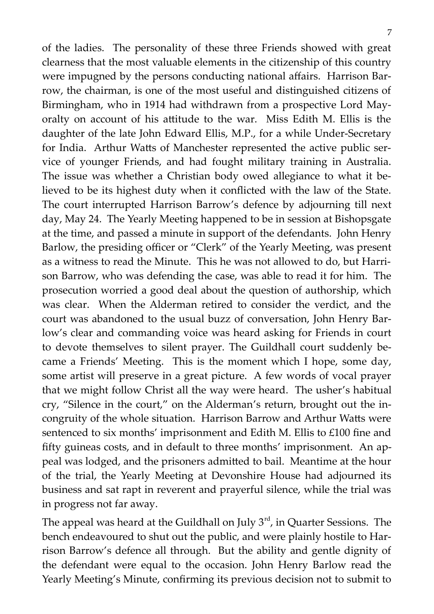of the ladies. The personality of these three Friends showed with great clearness that the most valuable elements in the citizenship of this country were impugned by the persons conducting national affairs. Harrison Barrow, the chairman, is one of the most useful and distinguished citizens of Birmingham, who in 1914 had withdrawn from a prospective Lord Mayoralty on account of his attitude to the war. Miss Edith M. Ellis is the daughter of the late John Edward Ellis, M.P., for a while Under-Secretary for India. Arthur Watts of Manchester represented the active public service of younger Friends, and had fought military training in Australia. The issue was whether a Christian body owed allegiance to what it believed to be its highest duty when it conflicted with the law of the State. The court interrupted Harrison Barrow's defence by adjourning till next day, May 24. The Yearly Meeting happened to be in session at Bishopsgate at the time, and passed a minute in support of the defendants. John Henry Barlow, the presiding officer or "Clerk" of the Yearly Meeting, was present as a witness to read the Minute. This he was not allowed to do, but Harrison Barrow, who was defending the case, was able to read it for him. The prosecution worried a good deal about the question of authorship, which was clear. When the Alderman retired to consider the verdict, and the court was abandoned to the usual buzz of conversation, John Henry Barlow's clear and commanding voice was heard asking for Friends in court to devote themselves to silent prayer. The Guildhall court suddenly became a Friends' Meeting. This is the moment which I hope, some day, some artist will preserve in a great picture. A few words of vocal prayer that we might follow Christ all the way were heard. The usher's habitual cry, "Silence in the court," on the Alderman's return, brought out the incongruity of the whole situation. Harrison Barrow and Arthur Watts were sentenced to six months' imprisonment and Edith M. Ellis to £100 fine and fifty guineas costs, and in default to three months' imprisonment. An appeal was lodged, and the prisoners admitted to bail. Meantime at the hour of the trial, the Yearly Meeting at Devonshire House had adjourned its business and sat rapt in reverent and prayerful silence, while the trial was in progress not far away.

The appeal was heard at the Guildhall on July  $3<sup>rd</sup>$ , in Quarter Sessions. The bench endeavoured to shut out the public, and were plainly hostile to Harrison Barrow's defence all through. But the ability and gentle dignity of the defendant were equal to the occasion. John Henry Barlow read the Yearly Meeting's Minute, confirming its previous decision not to submit to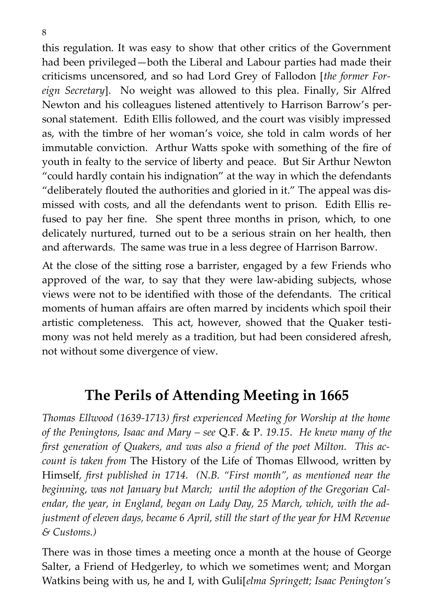this regulation. It was easy to show that other critics of the Government had been privileged—both the Liberal and Labour parties had made their criticisms uncensored, and so had Lord Grey of Fallodon [*the former Foreign Secretary*]. No weight was allowed to this plea. Finally, Sir Alfred Newton and his colleagues listened attentively to Harrison Barrow's personal statement. Edith Ellis followed, and the court was visibly impressed as, with the timbre of her woman's voice, she told in calm words of her immutable conviction. Arthur Watts spoke with something of the fire of youth in fealty to the service of liberty and peace. But Sir Arthur Newton "could hardly contain his indignation" at the way in which the defendants "deliberately flouted the authorities and gloried in it." The appeal was dismissed with costs, and all the defendants went to prison. Edith Ellis refused to pay her fine. She spent three months in prison, which, to one delicately nurtured, turned out to be a serious strain on her health, then and afterwards. The same was true in a less degree of Harrison Barrow.

At the close of the sitting rose a barrister, engaged by a few Friends who approved of the war, to say that they were law-abiding subjects, whose views were not to be identified with those of the defendants. The critical moments of human affairs are often marred by incidents which spoil their artistic completeness. This act, however, showed that the Quaker testimony was not held merely as a tradition, but had been considered afresh, not without some divergence of view.

# **The Perils of Attending Meeting in 1665**

*Thomas Ellwood (1639-1713) first experienced Meeting for Worship at the home of the Peningtons, Isaac and Mary – see* Q.F. & P. *19.15*. *He knew many of the first generation of Quakers, and was also a friend of the poet Milton. This account is taken from* The History of the Life of Thomas Ellwood, written by Himself*, first published in 1714. (N.B. "First month", as mentioned near the beginning, was not January but March; until the adoption of the Gregorian Calendar, the year, in England, began on Lady Day, 25 March, which, with the adjustment of eleven days, became 6 April, still the start of the year for HM Revenue & Customs.)*

There was in those times a meeting once a month at the house of George Salter, a Friend of Hedgerley, to which we sometimes went; and Morgan Watkins being with us, he and I, with Guli[*elma Springett; Isaac Penington's*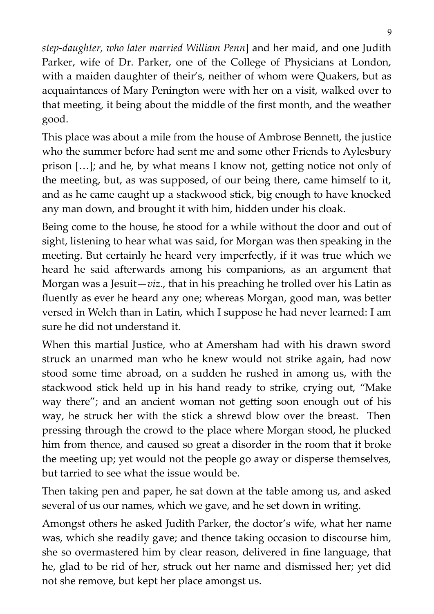*step-daughter, who later married William Penn*] and her maid, and one Judith Parker, wife of Dr. Parker, one of the College of Physicians at London, with a maiden daughter of their's, neither of whom were Quakers, but as acquaintances of Mary Penington were with her on a visit, walked over to that meeting, it being about the middle of the first month, and the weather good.

This place was about a mile from the house of Ambrose Bennett, the justice who the summer before had sent me and some other Friends to Aylesbury prison […]; and he, by what means I know not, getting notice not only of the meeting, but, as was supposed, of our being there, came himself to it, and as he came caught up a stackwood stick, big enough to have knocked any man down, and brought it with him, hidden under his cloak.

Being come to the house, he stood for a while without the door and out of sight, listening to hear what was said, for Morgan was then speaking in the meeting. But certainly he heard very imperfectly, if it was true which we heard he said afterwards among his companions, as an argument that Morgan was a Jesuit—*viz*., that in his preaching he trolled over his Latin as fluently as ever he heard any one; whereas Morgan, good man, was better versed in Welch than in Latin, which I suppose he had never learned: I am sure he did not understand it.

When this martial Justice, who at Amersham had with his drawn sword struck an unarmed man who he knew would not strike again, had now stood some time abroad, on a sudden he rushed in among us, with the stackwood stick held up in his hand ready to strike, crying out, "Make way there"; and an ancient woman not getting soon enough out of his way, he struck her with the stick a shrewd blow over the breast. Then pressing through the crowd to the place where Morgan stood, he plucked him from thence, and caused so great a disorder in the room that it broke the meeting up; yet would not the people go away or disperse themselves, but tarried to see what the issue would be.

Then taking pen and paper, he sat down at the table among us, and asked several of us our names, which we gave, and he set down in writing.

Amongst others he asked Judith Parker, the doctor's wife, what her name was, which she readily gave; and thence taking occasion to discourse him, she so overmastered him by clear reason, delivered in fine language, that he, glad to be rid of her, struck out her name and dismissed her; yet did not she remove, but kept her place amongst us.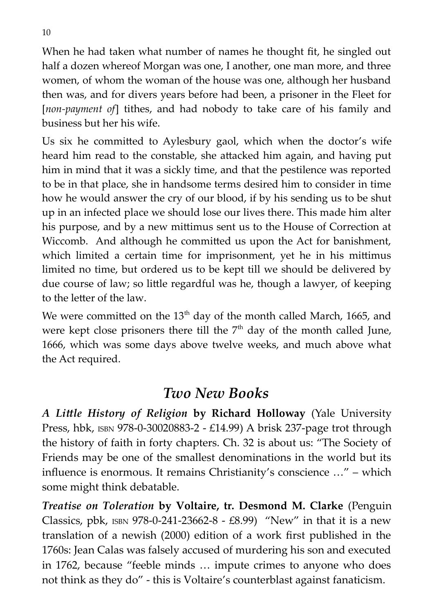When he had taken what number of names he thought fit, he singled out half a dozen whereof Morgan was one, I another, one man more, and three women, of whom the woman of the house was one, although her husband then was, and for divers years before had been, a prisoner in the Fleet for [*non-payment of*] tithes, and had nobody to take care of his family and business but her his wife.

Us six he committed to Aylesbury gaol, which when the doctor's wife heard him read to the constable, she attacked him again, and having put him in mind that it was a sickly time, and that the pestilence was reported to be in that place, she in handsome terms desired him to consider in time how he would answer the cry of our blood, if by his sending us to be shut up in an infected place we should lose our lives there. This made him alter his purpose, and by a new mittimus sent us to the House of Correction at Wiccomb. And although he committed us upon the Act for banishment, which limited a certain time for imprisonment, yet he in his mittimus limited no time, but ordered us to be kept till we should be delivered by due course of law; so little regardful was he, though a lawyer, of keeping to the letter of the law.

We were committed on the  $13<sup>th</sup>$  day of the month called March, 1665, and were kept close prisoners there till the  $7<sup>th</sup>$  day of the month called June, 1666, which was some days above twelve weeks, and much above what the Act required.

# *Two New Books*

*A Little History of Religion* **by Richard Holloway** (Yale University Press, hbk, ISBN 978-0-30020883-2 - £14.99) A brisk 237-page trot through the history of faith in forty chapters. Ch. 32 is about us: "The Society of Friends may be one of the smallest denominations in the world but its influence is enormous. It remains Christianity's conscience …" – which some might think debatable.

*Treatise on Toleration* **by Voltaire, tr. Desmond M. Clarke** (Penguin Classics, pbk, ISBN 978-0-241-23662-8 -  $E8.99$ ) "New" in that it is a new translation of a newish (2000) edition of a work first published in the 1760s: Jean Calas was falsely accused of murdering his son and executed in 1762, because "feeble minds … impute crimes to anyone who does not think as they do" - this is Voltaire's counterblast against fanaticism.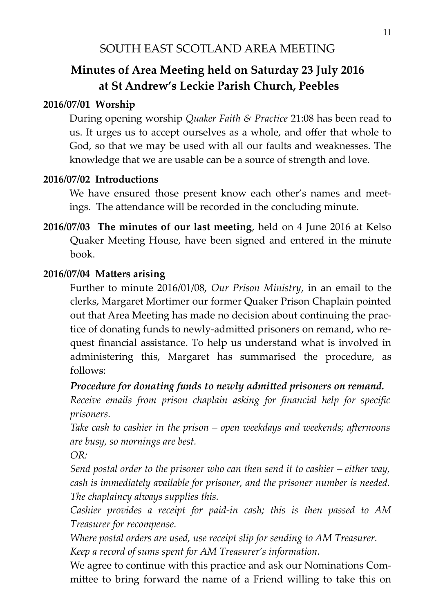# SOUTH EAST SCOTLAND AREA MEETING

# **Minutes of Area Meeting held on Saturday 23 July 2016 at St Andrew's Leckie Parish Church, Peebles**

#### **2016/07/01 Worship**

During opening worship *Quaker Faith & Practice* 21:08 has been read to us. It urges us to accept ourselves as a whole, and offer that whole to God, so that we may be used with all our faults and weaknesses. The knowledge that we are usable can be a source of strength and love.

#### **2016/07/02 Introductions**

We have ensured those present know each other's names and meetings. The attendance will be recorded in the concluding minute.

**2016/07/03 The minutes of our last meeting**, held on 4 June 2016 at Kelso Quaker Meeting House, have been signed and entered in the minute book.

#### **2016/07/04 Matters arising**

Further to minute 2016/01/08, *Our Prison Ministry*, in an email to the clerks, Margaret Mortimer our former Quaker Prison Chaplain pointed out that Area Meeting has made no decision about continuing the practice of donating funds to newly-admitted prisoners on remand, who request financial assistance. To help us understand what is involved in administering this, Margaret has summarised the procedure, as follows:

#### *Procedure for donating funds to newly admitted prisoners on remand.*

*Receive emails from prison chaplain asking for financial help for specific prisoners.*

*Take cash to cashier in the prison – open weekdays and weekends; afternoons are busy, so mornings are best.*

*OR:* 

*Send postal order to the prisoner who can then send it to cashier – either way, cash is immediately available for prisoner, and the prisoner number is needed. The chaplaincy always supplies this.*

*Cashier provides a receipt for paid-in cash; this is then passed to AM Treasurer for recompense.*

*Where postal orders are used, use receipt slip for sending to AM Treasurer. Keep a record of sums spent for AM Treasurer's information.* 

We agree to continue with this practice and ask our Nominations Committee to bring forward the name of a Friend willing to take this on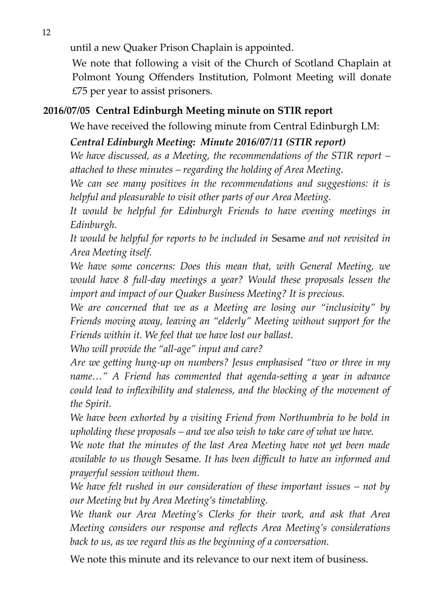until a new Quaker Prison Chaplain is appointed.

We note that following a visit of the Church of Scotland Chaplain at Polmont Young Offenders Institution, Polmont Meeting will donate £75 per year to assist prisoners.

#### **2016/07/05 Central Edinburgh Meeting minute on STIR report**

We have received the following minute from Central Edinburgh LM:

#### *Central Edinburgh Meeting: Minute 2016/07/11 (STIR report)*

*We have discussed, as a Meeting, the recommendations of the STIR report – attached to these minutes – regarding the holding of Area Meeting.*

*We can see many positives in the recommendations and suggestions: it is helpful and pleasurable to visit other parts of our Area Meeting.*

*It would be helpful for Edinburgh Friends to have evening meetings in Edinburgh.*

*It would be helpful for reports to be included in* Sesame *and not revisited in Area Meeting itself.*

*We have some concerns: Does this mean that, with General Meeting, we would have 8 full-day meetings a year? Would these proposals lessen the import and impact of our Quaker Business Meeting? It is precious.*

*We are concerned that we as a Meeting are losing our "inclusivity" by Friends moving away, leaving an "elderly" Meeting without support for the Friends within it. We feel that we have lost our ballast.*

*Who will provide the "all-age" input and care?*

*Are we getting hung-up on numbers? Jesus emphasised "two or three in my name…" A Friend has commented that agenda-setting a year in advance could lead to inflexibility and staleness, and the blocking of the movement of the Spirit.*

*We have been exhorted by a visiting Friend from Northumbria to be bold in upholding these proposals – and we also wish to take care of what we have.*

*We note that the minutes of the last Area Meeting have not yet been made available to us though* Sesame*. It has been difficult to have an informed and prayerful session without them.*

*We have felt rushed in our consideration of these important issues – not by our Meeting but by Area Meeting's timetabling.*

*We thank our Area Meeting's Clerks for their work, and ask that Area Meeting considers our response and reflects Area Meeting's considerations back to us, as we regard this as the beginning of a conversation.*

We note this minute and its relevance to our next item of business.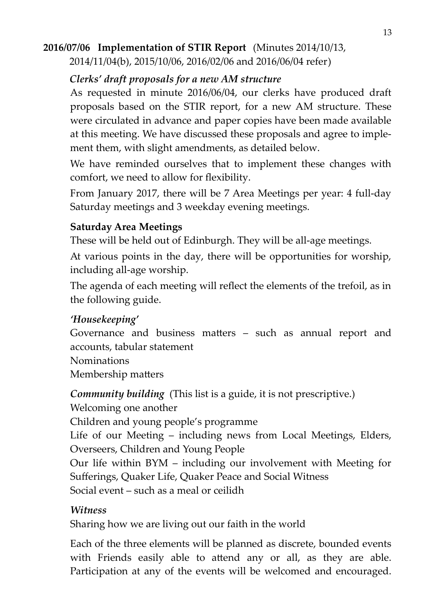## **2016/07/06 Implementation of STIR Report** (Minutes 2014/10/13,

2014/11/04(b), 2015/10/06, 2016/02/06 and 2016/06/04 refer)

#### *Clerks' draft proposals for a new AM structure*

As requested in minute 2016/06/04, our clerks have produced draft proposals based on the STIR report, for a new AM structure. These were circulated in advance and paper copies have been made available at this meeting. We have discussed these proposals and agree to implement them, with slight amendments, as detailed below.

We have reminded ourselves that to implement these changes with comfort, we need to allow for flexibility.

From January 2017, there will be 7 Area Meetings per year: 4 full-day Saturday meetings and 3 weekday evening meetings.

#### **Saturday Area Meetings**

These will be held out of Edinburgh. They will be all-age meetings.

At various points in the day, there will be opportunities for worship, including all-age worship.

The agenda of each meeting will reflect the elements of the trefoil, as in the following guide.

## *'Housekeeping'*

Governance and business matters – such as annual report and accounts, tabular statement

Nominations Membership matters

*Community building* (This list is a guide, it is not prescriptive.) Welcoming one another Children and young people's programme Life of our Meeting – including news from Local Meetings, Elders, Overseers, Children and Young People Our life within BYM – including our involvement with Meeting for Sufferings, Quaker Life, Quaker Peace and Social Witness Social event – such as a meal or ceilidh

## *Witness*

Sharing how we are living out our faith in the world

Each of the three elements will be planned as discrete, bounded events with Friends easily able to attend any or all, as they are able. Participation at any of the events will be welcomed and encouraged.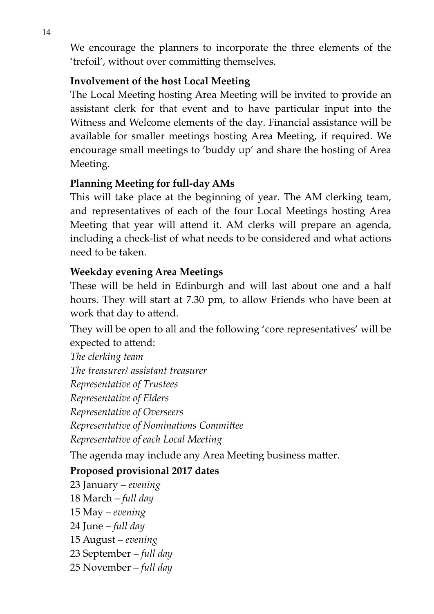We encourage the planners to incorporate the three elements of the 'trefoil', without over committing themselves.

#### **Involvement of the host Local Meeting**

The Local Meeting hosting Area Meeting will be invited to provide an assistant clerk for that event and to have particular input into the Witness and Welcome elements of the day. Financial assistance will be available for smaller meetings hosting Area Meeting, if required. We encourage small meetings to 'buddy up' and share the hosting of Area Meeting.

#### **Planning Meeting for full-day AMs**

This will take place at the beginning of year. The AM clerking team, and representatives of each of the four Local Meetings hosting Area Meeting that year will attend it. AM clerks will prepare an agenda, including a check-list of what needs to be considered and what actions need to be taken.

#### **Weekday evening Area Meetings**

These will be held in Edinburgh and will last about one and a half hours. They will start at 7.30 pm, to allow Friends who have been at work that day to attend.

They will be open to all and the following 'core representatives' will be expected to attend:

*The clerking team The treasurer/ assistant treasurer Representative of Trustees Representative of Elders Representative of Overseers Representative of Nominations Committee Representative of each Local Meeting*

The agenda may include any Area Meeting business matter.

#### **Proposed provisional 2017 dates**

- 23 January *evening*
- 18 March *full day*
- 15 May *evening*
- 24 June *full day*
- 15 August *evening*
- 23 September *full day*
- 25 November *full day*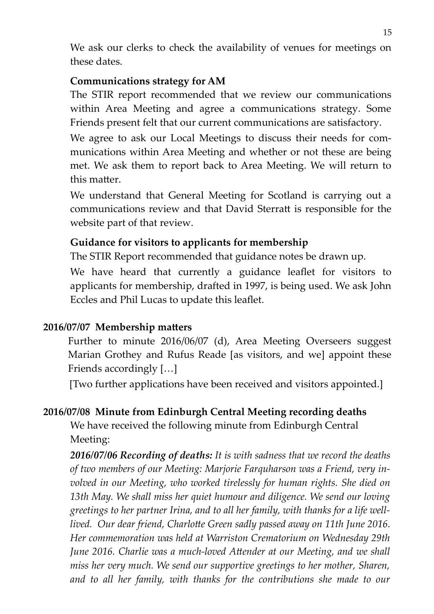We ask our clerks to check the availability of venues for meetings on these dates.

#### **Communications strategy for AM**

The STIR report recommended that we review our communications within Area Meeting and agree a communications strategy. Some Friends present felt that our current communications are satisfactory.

We agree to ask our Local Meetings to discuss their needs for communications within Area Meeting and whether or not these are being met. We ask them to report back to Area Meeting. We will return to this matter.

We understand that General Meeting for Scotland is carrying out a communications review and that David Sterratt is responsible for the website part of that review.

#### **Guidance for visitors to applicants for membership**

The STIR Report recommended that guidance notes be drawn up.

We have heard that currently a guidance leaflet for visitors to applicants for membership, drafted in 1997, is being used. We ask John Eccles and Phil Lucas to update this leaflet.

#### **2016/07/07 Membership matters**

Further to minute 2016/06/07 (d), Area Meeting Overseers suggest Marian Grothey and Rufus Reade [as visitors, and we] appoint these Friends accordingly […]

[Two further applications have been received and visitors appointed.]

#### **2016/07/08 Minute from Edinburgh Central Meeting recording deaths**

We have received the following minute from Edinburgh Central Meeting:

*2016/07/06 Recording of deaths: It is with sadness that we record the deaths of two members of our Meeting: Marjorie Farquharson was a Friend, very involved in our Meeting, who worked tirelessly for human rights. She died on 13th May. We shall miss her quiet humour and diligence. We send our loving greetings to her partner Irina, and to all her family, with thanks for a life welllived. Our dear friend, Charlotte Green sadly passed away on 11th June 2016. Her commemoration was held at Warriston Crematorium on Wednesday 29th June 2016. Charlie was a much-loved Attender at our Meeting, and we shall miss her very much. We send our supportive greetings to her mother, Sharen, and to all her family, with thanks for the contributions she made to our*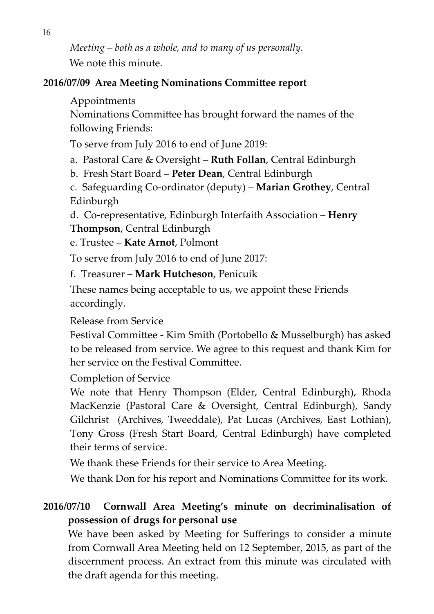*Meeting – both as a whole, and to many of us personally.* We note this minute.

#### **2016/07/09 Area Meeting Nominations Committee report**

#### Appointments

Nominations Committee has brought forward the names of the following Friends:

To serve from July 2016 to end of June 2019:

a. Pastoral Care & Oversight – **Ruth Follan**, Central Edinburgh

b. Fresh Start Board – **Peter Dean**, Central Edinburgh

c. Safeguarding Co-ordinator (deputy) – **Marian Grothey**, Central Edinburgh

d. Co-representative, Edinburgh Interfaith Association – **Henry Thompson**, Central Edinburgh

e. Trustee – **Kate Arnot**, Polmont

To serve from July 2016 to end of June 2017:

f. Treasurer – **Mark Hutcheson**, Penicuik

These names being acceptable to us, we appoint these Friends accordingly.

Release from Service

Festival Committee - Kim Smith (Portobello & Musselburgh) has asked to be released from service. We agree to this request and thank Kim for her service on the Festival Committee.

Completion of Service

We note that Henry Thompson (Elder, Central Edinburgh), Rhoda MacKenzie (Pastoral Care & Oversight, Central Edinburgh), Sandy Gilchrist (Archives, Tweeddale), Pat Lucas (Archives, East Lothian), Tony Gross (Fresh Start Board, Central Edinburgh) have completed their terms of service.

We thank these Friends for their service to Area Meeting.

We thank Don for his report and Nominations Committee for its work.

# **2016/07/10 Cornwall Area Meeting's minute on decriminalisation of possession of drugs for personal use**

We have been asked by Meeting for Sufferings to consider a minute from Cornwall Area Meeting held on 12 September, 2015, as part of the discernment process. An extract from this minute was circulated with the draft agenda for this meeting.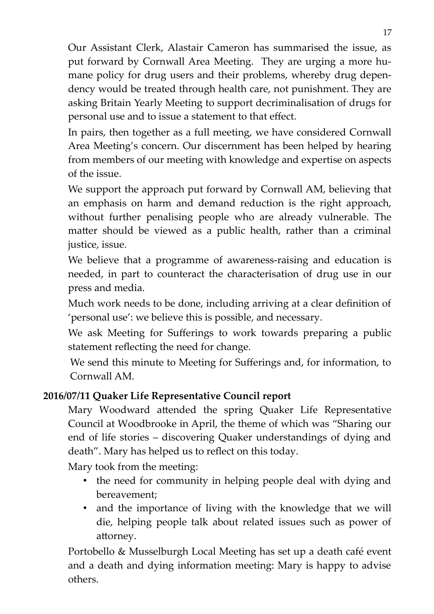Our Assistant Clerk, Alastair Cameron has summarised the issue, as put forward by Cornwall Area Meeting. They are urging a more humane policy for drug users and their problems, whereby drug dependency would be treated through health care, not punishment. They are asking Britain Yearly Meeting to support decriminalisation of drugs for personal use and to issue a statement to that effect.

In pairs, then together as a full meeting, we have considered Cornwall Area Meeting's concern. Our discernment has been helped by hearing from members of our meeting with knowledge and expertise on aspects of the issue.

We support the approach put forward by Cornwall AM, believing that an emphasis on harm and demand reduction is the right approach, without further penalising people who are already vulnerable. The matter should be viewed as a public health, rather than a criminal justice, issue.

We believe that a programme of awareness-raising and education is needed, in part to counteract the characterisation of drug use in our press and media.

Much work needs to be done, including arriving at a clear definition of 'personal use': we believe this is possible, and necessary.

We ask Meeting for Sufferings to work towards preparing a public statement reflecting the need for change.

We send this minute to Meeting for Sufferings and, for information, to Cornwall AM.

## **2016/07/11 Quaker Life Representative Council report**

Mary Woodward attended the spring Quaker Life Representative Council at Woodbrooke in April, the theme of which was "Sharing our end of life stories – discovering Quaker understandings of dying and death". Mary has helped us to reflect on this today.

Mary took from the meeting:

- the need for community in helping people deal with dying and bereavement;
- and the importance of living with the knowledge that we will die, helping people talk about related issues such as power of attorney.

Portobello & Musselburgh Local Meeting has set up a death café event and a death and dying information meeting: Mary is happy to advise others.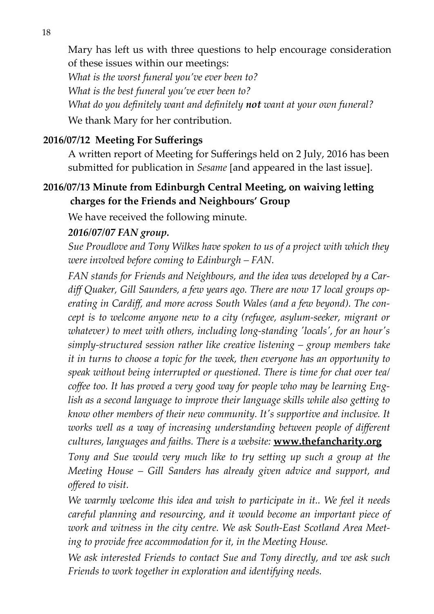Mary has left us with three questions to help encourage consideration of these issues within our meetings:

*What is the worst funeral you've ever been to? What is the best funeral you've ever been to? What do you definitely want and definitely not want at your own funeral?* We thank Mary for her contribution.

#### **2016/07/12 Meeting For Sufferings**

A written report of Meeting for Sufferings held on 2 July, 2016 has been submitted for publication in *Sesame* [and appeared in the last issue].

#### **2016/07/13 Minute from Edinburgh Central Meeting, on waiving letting charges for the Friends and Neighbours' Group**

We have received the following minute.

#### *2016/07/07 FAN group.*

*Sue Proudlove and Tony Wilkes have spoken to us of a project with which they were involved before coming to Edinburgh – FAN.*

*FAN stands for Friends and Neighbours, and the idea was developed by a Cardiff Quaker, Gill Saunders, a few years ago. There are now 17 local groups operating in Cardiff, and more across South Wales (and a few beyond). The concept is to welcome anyone new to a city (refugee, asylum-seeker, migrant or whatever) to meet with others, including long-standing 'locals', for an hour's simply-structured session rather like creative listening – group members take it in turns to choose a topic for the week, then everyone has an opportunity to speak without being interrupted or questioned. There is time for chat over tea/ coffee too. It has proved a very good way for people who may be learning English as a second language to improve their language skills while also getting to know other members of their new community. It's supportive and inclusive. It works well as a way of increasing understanding between people of different cultures, languages and faiths. There is a website:* **www.thefancharity.org**

*Tony and Sue would very much like to try setting up such a group at the Meeting House – Gill Sanders has already given advice and support, and offered to visit.*

*We warmly welcome this idea and wish to participate in it.. We feel it needs careful planning and resourcing, and it would become an important piece of work and witness in the city centre. We ask South-East Scotland Area Meeting to provide free accommodation for it, in the Meeting House.*

*We ask interested Friends to contact Sue and Tony directly, and we ask such Friends to work together in exploration and identifying needs.*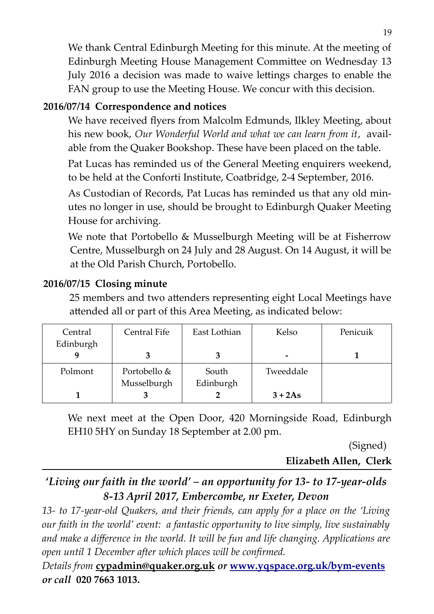We thank Central Edinburgh Meeting for this minute. At the meeting of Edinburgh Meeting House Management Committee on Wednesday 13 July 2016 a decision was made to waive lettings charges to enable the FAN group to use the Meeting House. We concur with this decision.

#### **2016/07/14 Correspondence and notices**

We have received flyers from Malcolm Edmunds, Ilkley Meeting, about his new book, *Our Wonderful World and what we can learn from it*, available from the Quaker Bookshop. These have been placed on the table.

Pat Lucas has reminded us of the General Meeting enquirers weekend, to be held at the Conforti Institute, Coatbridge, 2-4 September, 2016.

As Custodian of Records, Pat Lucas has reminded us that any old minutes no longer in use, should be brought to Edinburgh Quaker Meeting House for archiving.

We note that Portobello & Musselburgh Meeting will be at Fisherrow Centre, Musselburgh on 24 July and 28 August. On 14 August, it will be at the Old Parish Church, Portobello.

#### **2016/07/15 Closing minute**

25 members and two attenders representing eight Local Meetings have attended all or part of this Area Meeting, as indicated below:

| Central   | Central Fife | East Lothian | Kelso           | Penicuik |
|-----------|--------------|--------------|-----------------|----------|
| Edinburgh |              |              |                 |          |
|           |              |              | $\qquad \qquad$ |          |
| Polmont   | Portobello & | South        | Tweeddale       |          |
|           | Musselburgh  | Edinburgh    |                 |          |
|           |              |              | $3 + 2As$       |          |

We next meet at the Open Door, 420 Morningside Road, Edinburgh EH10 5HY on Sunday 18 September at 2.00 pm.

(Signed)

**Elizabeth Allen, Clerk**

# **'***Living our faith in the world' – an opportunity for 13- to 17-year-olds 8-13 April 2017, Embercombe, nr Exeter, Devon*

*13- to 17-year-old Quakers, and their friends, can apply for a place on the 'Living our faith in the world' event: a fantastic opportunity to live simply, live sustainably and make a difference in the world. It will be fun and life changing. Applications are open until 1 December after which places will be confirmed.*

*Details from* **[cypadmin@quaker.org.uk](mailto:cypadmin@quaker.org.uk)** *or* **[www.yqspace.org.uk/bym-events](http://www.yqspace.org.uk/bym-events)** *or call* **020 7663 1013.**